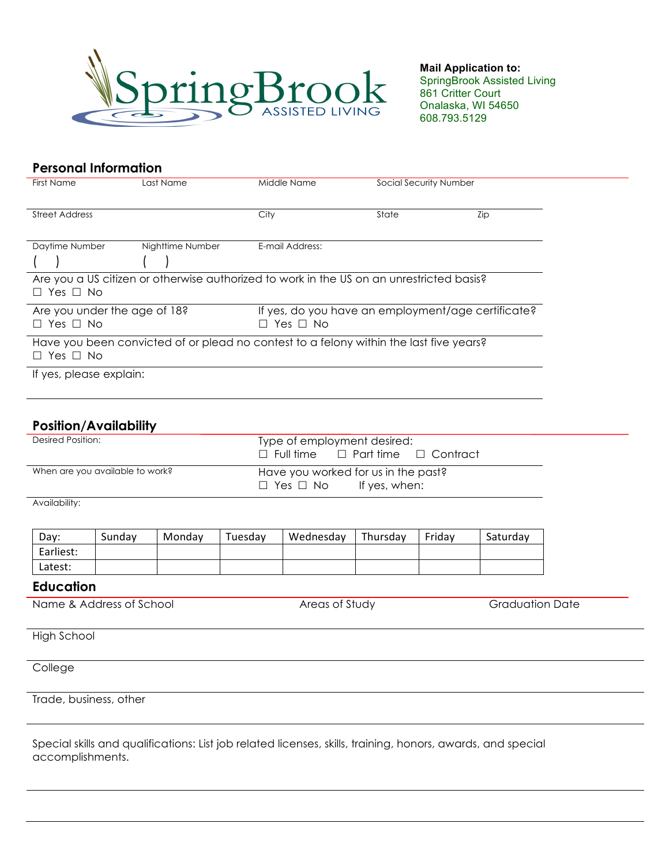

 **Mail Application to:** SpringBrook Assisted Living 861 Critter Court Onalaska, WI 54650 608.793.5129

| <b>Personal Information</b>                          |                                                                                          |                                                                                |                        |     |  |  |
|------------------------------------------------------|------------------------------------------------------------------------------------------|--------------------------------------------------------------------------------|------------------------|-----|--|--|
| <b>First Name</b>                                    | Last Name                                                                                | Middle Name                                                                    | Social Security Number |     |  |  |
|                                                      |                                                                                          |                                                                                |                        |     |  |  |
| <b>Street Address</b>                                |                                                                                          | City                                                                           | State                  | Zip |  |  |
| Daytime Number                                       | Nighttime Number                                                                         | E-mail Address:                                                                |                        |     |  |  |
|                                                      |                                                                                          |                                                                                |                        |     |  |  |
| $\Box$ Yes $\Box$ No                                 | Are you a US citizen or otherwise authorized to work in the US on an unrestricted basis? |                                                                                |                        |     |  |  |
| Are you under the age of 18?<br>$\Box$ Yes $\Box$ No |                                                                                          | If yes, do you have an employment/age certificate?<br>Yes $\Box$ No<br>$\perp$ |                        |     |  |  |
| $\Box$ Yes $\Box$ No                                 | Have you been convicted of or plead no contest to a felony within the last five years?   |                                                                                |                        |     |  |  |
| If yes, please explain:                              |                                                                                          |                                                                                |                        |     |  |  |
|                                                      |                                                                                          |                                                                                |                        |     |  |  |

## **Position/Availability**

| Desired Position:               | Type of employment desired:<br>$\Box$ Full time $\Box$ Part time $\Box$ Contract |
|---------------------------------|----------------------------------------------------------------------------------|
| When are you available to work? | Have you worked for us in the past?<br>If yes, when:<br>$\Box$ Yes $\Box$ No     |

Availability:

| Day:      | Sundav | Mondav | Tuesdav | Wednesday | Thursday | Fridav | Saturdav |
|-----------|--------|--------|---------|-----------|----------|--------|----------|
| Earliest: |        |        |         |           |          |        |          |
| Latest:   |        |        |         |           |          |        |          |

## **Education**

Name & Address of School **Areas of Study Areas of Study** Graduation Date

High School

**College** 

Trade, business, other

Special skills and qualifications: List job related licenses, skills, training, honors, awards, and special accomplishments.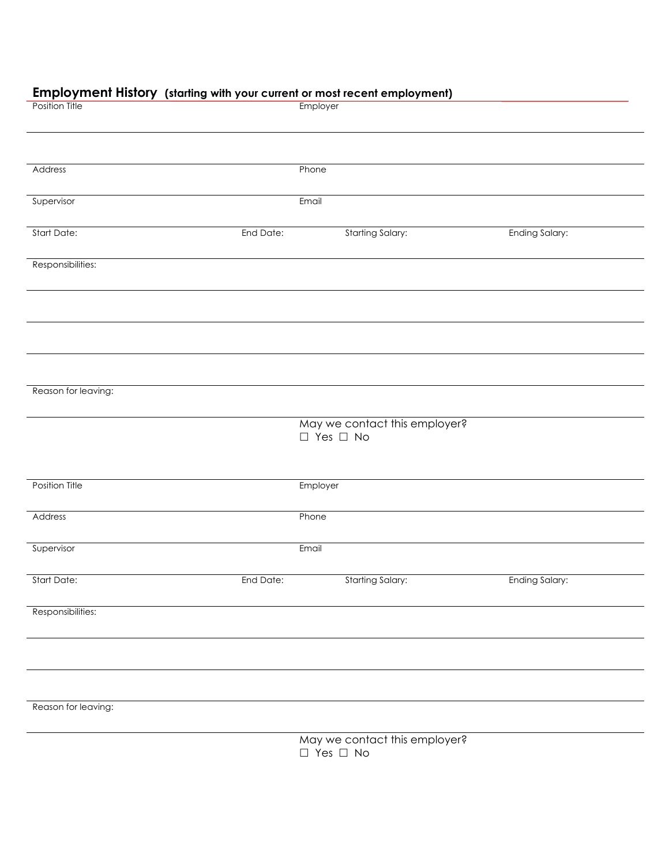## **Employment History (starting with your current or most recent employment)**

| p.v/v v. <sub>/</sub> tolaning with your<br><b>Position Title</b> |           | sonom or mosnicoom employmenty<br>Employer            |                       |
|-------------------------------------------------------------------|-----------|-------------------------------------------------------|-----------------------|
|                                                                   |           |                                                       |                       |
| Address                                                           |           | Phone                                                 |                       |
| Supervisor                                                        |           | Email                                                 |                       |
| Start Date:                                                       | End Date: | <b>Starting Salary:</b>                               | Ending Salary:        |
| Responsibilities:                                                 |           |                                                       |                       |
|                                                                   |           |                                                       |                       |
|                                                                   |           |                                                       |                       |
|                                                                   |           |                                                       |                       |
| Reason for leaving:                                               |           |                                                       |                       |
|                                                                   |           | May we contact this employer?<br>$\Box$ Yes $\Box$ No |                       |
| Position Title                                                    |           | Employer                                              |                       |
| Address                                                           |           | Phone                                                 |                       |
| Supervisor                                                        |           | Email                                                 |                       |
| Start Date:                                                       | End Date: | <b>Starting Salary:</b>                               | <b>Ending Salary:</b> |
| Responsibilities:                                                 |           |                                                       |                       |
|                                                                   |           |                                                       |                       |
|                                                                   |           |                                                       |                       |
| Reason for leaving:                                               |           |                                                       |                       |
|                                                                   |           | May we contact this employer?                         |                       |

 $\square$  Yes  $\square$  No